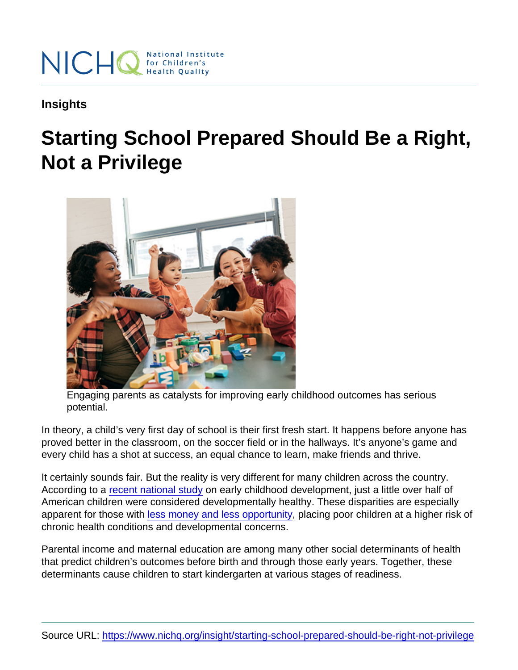Insights

## Starting School Prepared Should Be a Right, Not a Privilege

Engaging parents as catalysts for improving early childhood outcomes has serious potential.

In theory, a child's very first day of school is their first fresh start. It happens before anyone has proved better in the classroom, on the soccer field or in the hallways. It's anyone's game and every child has a shot at success, an equal chance to learn, make friends and thrive.

It certainly sounds fair. But the reality is very different for many children across the country. According to a [recent national study](https://www.ncbi.nlm.nih.gov/pmc/articles/PMC3615056/) on early childhood development, just a little over half of American children were considered developmentally healthy. These disparities are especially apparent for those with [less money and less opportunity,](https://mchb.hrsa.gov/chusa14/health-status-behaviors/children/school-readiness.html) placing poor children at a higher risk of chronic health conditions and developmental concerns.

Parental income and maternal education are among many other social determinants of health that predict children's outcomes before birth and through those early years. Together, these determinants cause children to start kindergarten at various stages of readiness.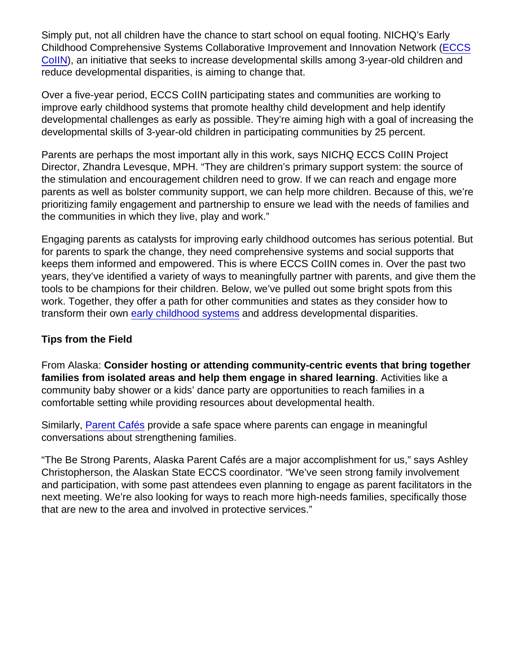Simply put, not all children have the chance to start school on equal footing. NICHQ's Early Childhood Comprehensive Systems Collaborative Improvement and Innovation Network [\(ECCS](https://www.nichq.org/project/early-childhood-comprehensive-systems-collaborative-improvement-and-innovation-network-eccs) [CoIIN\)](https://www.nichq.org/project/early-childhood-comprehensive-systems-collaborative-improvement-and-innovation-network-eccs), an initiative that seeks to increase developmental skills among 3-year-old children and reduce developmental disparities, is aiming to change that.

Over a five-year period, ECCS CoIIN participating states and communities are working to improve early childhood systems that promote healthy child development and help identify developmental challenges as early as possible. They're aiming high with a goal of increasing the developmental skills of 3-year-old children in participating communities by 25 percent.

Parents are perhaps the most important ally in this work, says NICHQ ECCS CoIIN Project Director, Zhandra Levesque, MPH. "They are children's primary support system: the source of the stimulation and encouragement children need to grow. If we can reach and engage more parents as well as bolster community support, we can help more children. Because of this, we're prioritizing family engagement and partnership to ensure we lead with the needs of families and the communities in which they live, play and work."

Engaging parents as catalysts for improving early childhood outcomes has serious potential. But for parents to spark the change, they need comprehensive systems and social supports that keeps them informed and empowered. This is where ECCS CoIIN comes in. Over the past two years, they've identified a variety of ways to meaningfully partner with parents, and give them the tools to be champions for their children. Below, we've pulled out some bright spots from this work. Together, they offer a path for other communities and states as they consider how to transform their own [early childhood systems](https://www.nichq.org/early-childhood) and address developmental disparities.

## Tips from the Field

From Alaska: Consider hosting or attending community-centric events that bring together families from isolated areas and help them engage in shared learning . Activities like a community baby shower or a kids' dance party are opportunities to reach families in a comfortable setting while providing resources about developmental health.

Similarly, [Parent Cafés](http://www.bestrongfamilies.net/build-protective-factors/parent-cafes/) provide a safe space where parents can engage in meaningful conversations about strengthening families.

"The Be Strong Parents, Alaska Parent Cafés are a major accomplishment for us," says Ashley Christopherson, the Alaskan State ECCS coordinator. "We've seen strong family involvement and participation, with some past attendees even planning to engage as parent facilitators in the next meeting. We're also looking for ways to reach more high-needs families, specifically those that are new to the area and involved in protective services."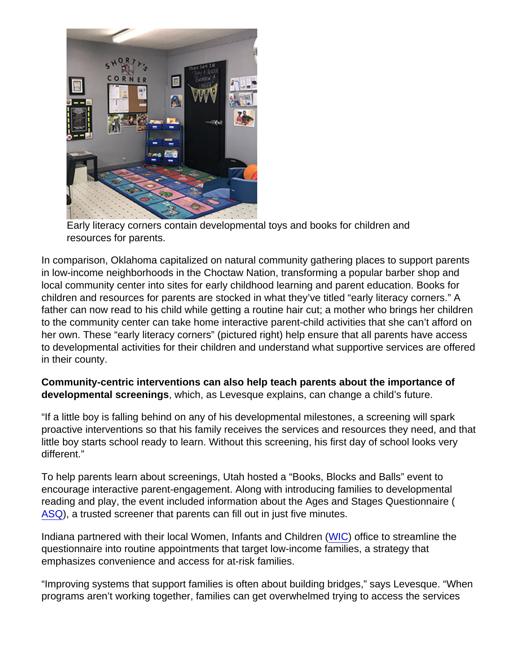Early literacy corners contain developmental toys and books for children and resources for parents.

In comparison, Oklahoma capitalized on natural community gathering places to support parents in low-income neighborhoods in the Choctaw Nation, transforming a popular barber shop and local community center into sites for early childhood learning and parent education. Books for children and resources for parents are stocked in what they've titled "early literacy corners." A father can now read to his child while getting a routine hair cut; a mother who brings her children to the community center can take home interactive parent-child activities that she can't afford on her own. These "early literacy corners" (pictured right) help ensure that all parents have access to developmental activities for their children and understand what supportive services are offered in their county.

Community-centric interventions can also help teach parents about the importance of developmental screenings , which, as Levesque explains, can change a child's future.

"If a little boy is falling behind on any of his developmental milestones, a screening will spark proactive interventions so that his family receives the services and resources they need, and that little boy starts school ready to learn. Without this screening, his first day of school looks very different."

To help parents learn about screenings, Utah hosted a "Books, Blocks and Balls" event to encourage interactive parent-engagement. Along with introducing families to developmental reading and play, the event included information about the Ages and Stages Questionnaire ( [ASQ](http://www.brookespublishing.com/resource-center/screening-and-assessment/asq/)), a trusted screener that parents can fill out in just five minutes.

Indiana partnered with their local Women, Infants and Children [\(WIC\)](https://www.fns.usda.gov/wic/women-infants-and-children-wic) office to streamline the questionnaire into routine appointments that target low-income families, a strategy that emphasizes convenience and access for at-risk families.

"Improving systems that support families is often about building bridges," says Levesque. "When programs aren't working together, families can get overwhelmed trying to access the services